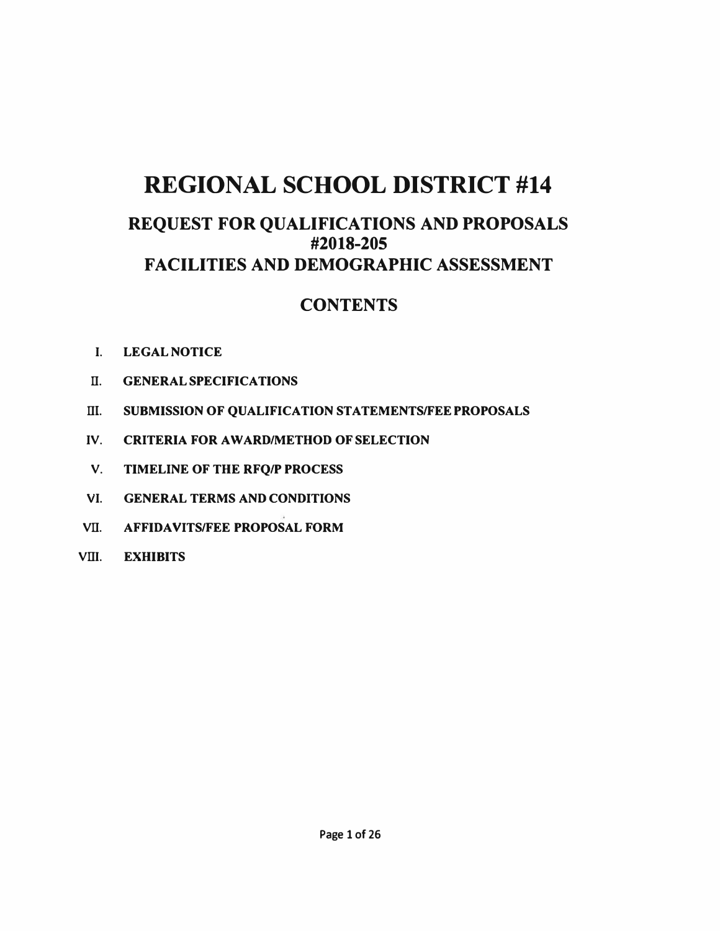# **REGIONAL SCHOOL DISTRICT #14**

# **REQUEST FOR QUALIFICATIONS AND PROPOSALS #2018-205 FACILITIES AND DEMOGRAPHIC ASSESSMENT**

# **CONTENTS**

- **I. LEGAL NOTICE**
- **II. GENERAL SPECIFICATIONS**
- **III. SUBMISSION OF QUALIFICATION STATEMENTS/FEE PROPOSALS**
- **IV.** CRITERIA FOR AWARD/METHOD OF SELECTION
- **V. TIMELINE OF THE RFQ/P PROCESS**
- **VI. GENERAL TERMS AND CONDITIONS**
- **VII. AFFIDAVITS/FEE PROPOSAL FORM**
- **VIII. EXHIBITS**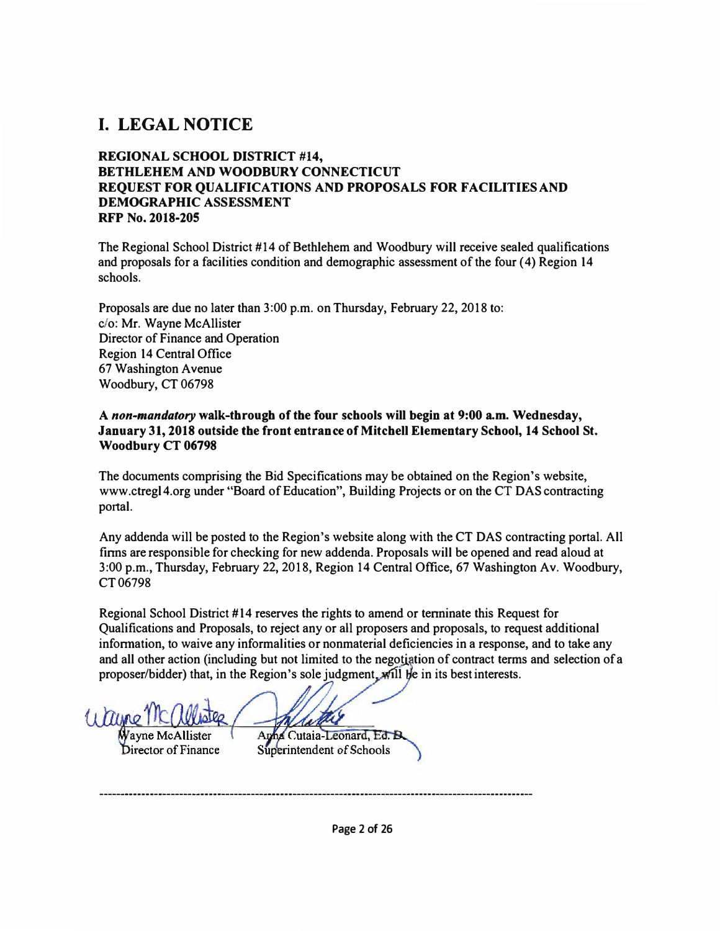# **I. LEGAL NOTICE**

#### **REGIONAL SCHOOL DISTRICT** #14, **BETHLEHEM AND WOODBURY CONNECTICUT REQUEST FOR QUALIFICATIONS AND PROPOSALS FOR FACILITIES AND DEMOGRAPHIC ASSESSMENT RFP No. 2018-205**

The Regional School District #14 of Bethlehem and Woodbury will receive sealed qualifications and proposals for a facilities condition and demographic assessment of the four (4) Region 14 schools.

Proposals are due no later than 3:00 p.m. on Thursday, February 22, 2018 to: c/o: Mr. Wayne McAllister Director of Finance and Operation Region 14 Central Office 67 Washington A venue Woodbury, CT 06798

#### **A** *non-mandatory* **walk-through of the four schools will begin at 9:00 a.m. Wednesday, January 31, 2018 outside the front entrance of Mitchell Elementary School, 14 School St. Woodbury CT 06798**

The documents comprising the Bid Specifications may be obtained on the Region's website, www.ctregl4.org under "Board of Education", Building Projects or on the CT DAS contracting portal.

Any addenda will be posted to the Region's website along with the CT DAS contracting portal. All finns are responsible for checking for new addenda. Proposals will be opened and read aloud at 3:00 p.m., Thursday, February 22, 2018, Region 14 Central Office, 67 Washington Av. Woodbury, CT06798

Regional School District #14 reserves the rights to amend or tenninate this Request for Qualifications and Proposals, to reject any or all proposers and proposals, to request additional infonnation, to waive any informalities or nonmaterial deficiencies in a response, and to take any and all other action (including but not limited to the negotiation of contract terms and selection of a proposer/bidder) that, in the Region's sole judgment. Will be in its best interests.

Apha Cutaia-Leonard, Ed. B Superintendent of Schools Director of Finance

-----·----------------------·----------·----------------------------------······-----------------------

**Page 2 of 26**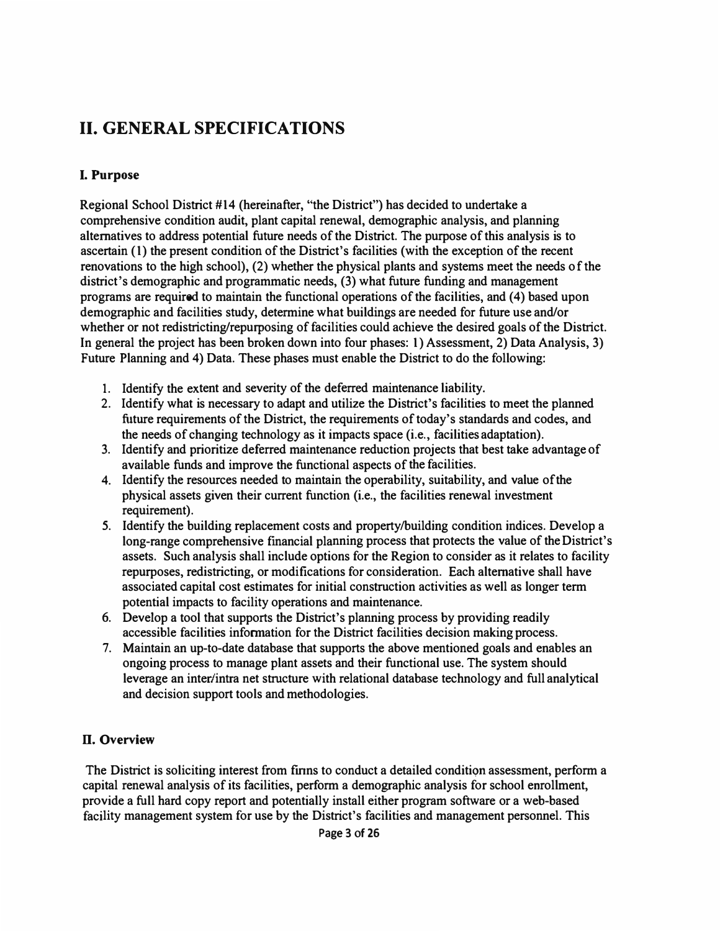# **II. GENERAL SPECIFICATIONS**

### **I. Purpose**

Regional School District #14 (hereinafter, "the District") has decided to undertake a comprehensive condition audit, plant capital renewal, demographic analysis, and planning alternatives to address potential future needs of the District. The purpose of this analysis is to ascertain (1) the present condition of the District's facilities (with the exception of the recent renovations to the high school), (2) whether the physical plants and systems meet the needs of the district's demographic and programmatic needs, (3) what future funding and management programs are required to maintain the functional operations of the facilities, and (4) based upon demographic and facilities study, determine what buildings are needed for future use and/or whether or not redistricting/repurposing of facilities could achieve the desired goals of the District. In general the project has been broken down into four phases: 1) Assessment, 2) Data Analysis, 3) Future Planning and 4) Data. These phases must enable the District to do the following:

- 1. Identify the extent and severity of the deferred maintenance liability.
- 2. Identify what is necessary to adapt and utilize the District's facilities to meet the planned future requirements of the District, the requirements of today's standards and codes, and the needs of changing technology as it impacts space (i.e., facilities adaptation).
- 3. Identify and prioritize deferred maintenance reduction projects that best take advantage of available funds and improve the functional aspects of the facilities.
- 4. Identify the resources needed to maintain the operability, suitability, and value of the physical assets given their current function (i.e., the facilities renewal investment requirement).
- *5.* Identify the building replacement costs and property/building condition indices. Develop a long-range comprehensive financial planning process that protects the value of the District's assets. Such analysis shall include options for the Region to consider as it relates to facility repurposes, redistricting, or modifications for consideration. Each alternative shall have associated capital cost estimates for initial construction activities as well as longer term potential impacts to facility operations and maintenance.
- 6. Develop a tool that supports the District's planning process by providing readily accessible facilities information for the District facilities decision making process.
- 7. Maintain an up-to-date database that supports the above mentioned goals and enables an ongoing process to manage plant assets and their functional use. The system should leverage an inter/intra net structure with relational database technology and full analytical and decision support tools and methodologies.

### **D. Overview**

The District is soliciting interest from firms to conduct a detailed condition assessment, perform a capital renewal analysis of its facilities, perform a demographic analysis for school enrollment, provide a full hard copy report and potentially install either program software or a web-based facility management system for use by the District's facilities and management personnel. This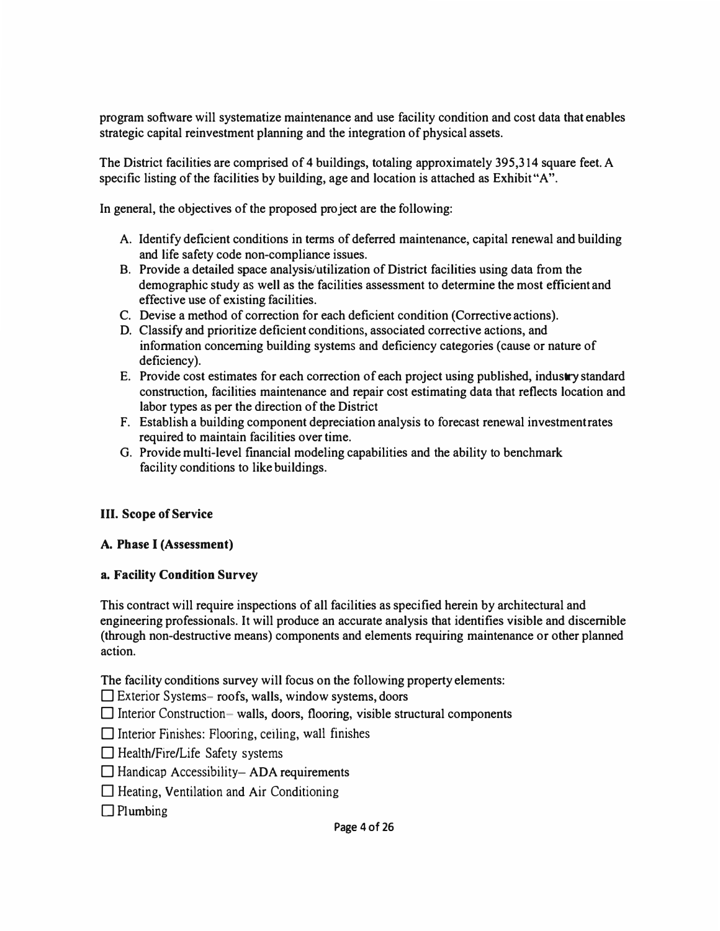program software will systematize maintenance and use facility condition and cost data that enables strategic capital reinvestment planning and the integration of physical assets.

The District facilities are comprised of 4 buildings, totaling approximately 395,314 square feet. A specific listing of the facilities by building, age and location is attached as Exhibit"A".

In general, the objectives of the proposed project are the following:

- A. Identify deficient conditions in terms of deferred maintenance, capital renewal and building and life safety code non-compliance issues.
- **B.** Provide a detailed space analysis/utilization of District facilities using data from the demographic study as well as the facilities assessment to determine the most efficient and effective use of existing facilities.
- C. Devise a method of correction for each deficient condition (Corrective actions).
- D. Classify and prioritize deficient conditions, associated corrective actions, and information concerning building systems and deficiency categories ( cause or nature of deficiency).
- **E.** Provide cost estimates for each correction of each project using published, industry standard construction, facilities maintenance and repair cost estimating data that reflects location and labor types as per the direction of the District
- F. Establish a building component depreciation analysis to forecast renewal investment rates required to maintain facilities over time.
- G. Provide multi-level financial modeling capabilities and the ability to benchmark facility conditions to like buildings.

#### **III. Scope of Service**

#### **A. Phase** I **(Assessment)**

#### **a. Facility Condition Survey**

This contract will require inspections of all facilities as specified herein by architectural and engineering professionals. It will produce an accurate analysis that identifies visible and discernible (through non-destructive means) components and elements requiring maintenance or other planned action.

The facility conditions survey will focus on the following property elements:

 $\square$  Exterior Systems- roofs, walls, window systems, doors

 $\Box$  Interior Construction- walls, doors, flooring, visible structural components

 $\Box$  Interior Finishes: Flooring, ceiling, wall finishes

 $\Box$  Health/Fire/Life Safety systems

 $\Box$  Handicap Accessibility-ADA requirements

 $\Box$  Heating, Ventilation and Air Conditioning

 $\Box$  Plumbing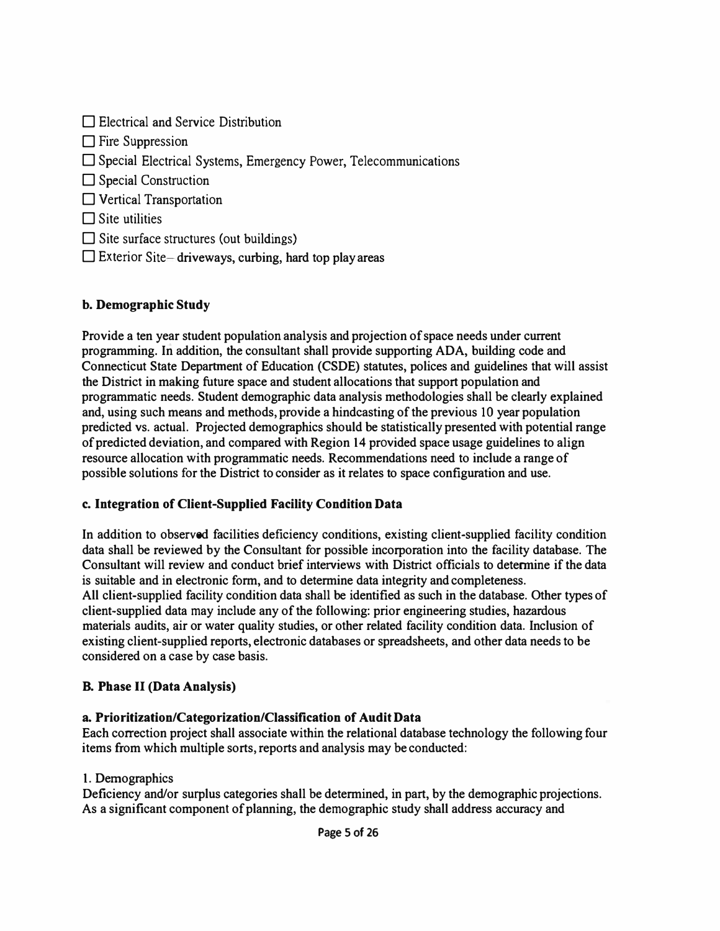| $\Box$ Electrical and Service Distribution                             |
|------------------------------------------------------------------------|
| $\Box$ Fire Suppression                                                |
| $\Box$ Special Electrical Systems, Emergency Power, Telecommunications |
| $\Box$ Special Construction                                            |
| Vertical Transportation                                                |
| $\Box$ Site utilities                                                  |
| $\Box$ Site surface structures (out buildings)                         |
| $\Box$ Exterior Site—driveways, curbing, hard top play areas           |

### *b. Demographic Study*

Provide a ten year student population analysis and projection of space needs under current programming. In addition, the consultant shall provide supporting ADA, building code and Connecticut State Department of Education (CSDE) statutes, polices and guidelines that will assist the District in making future space and student allocations that support population and programmatic needs. Student demographic data analysis methodologies shall be clearly explained and, using such means and methods, provide a hindcasting of the previous IO year population predicted vs. actual. Projected demographics should be statistically presented with potential range of predicted deviation, and compared with Region 14 provided space usage guidelines to align resource allocation with programmatic needs. Recommendations need to include a range of possible solutions for the District to consider as it relates to space configuration and use.

### *c. Integration of Client-Supplied Facility Condition Data*

In addition to observed facilities deficiency conditions, existing client-supplied facility condition data shall be reviewed by the Consultant for possible incorporation into the facility database. The Consultant will review and conduct brief interviews with District officials to determine if the data is suitable and in electronic form, and to determine data integrity and completeness. All client-supplied facility condition data shall be identified as such in the database. Other types of client-supplied data may include any of the following: prior engineering studies, hazardous materials audits, air or water quality studies, or other related facility condition data. Inclusion of existing client-supplied reports, electronic databases or spreadsheets, and other data needs to be considered on a case by case basis.

### *B. Phase* II *(Data Analysis)*

### *a. Prioritization/Categorization/Classification of Audit Data*

Each correction project shall associate within the relational database technology the following four items from which multiple sorts, reports and analysis may be conducted:

### 1. Demographics

Deficiency and/or surplus categories shall be determined, in part, by the demographic projections. As a significant component of planning, the demographic study shall address accuracy and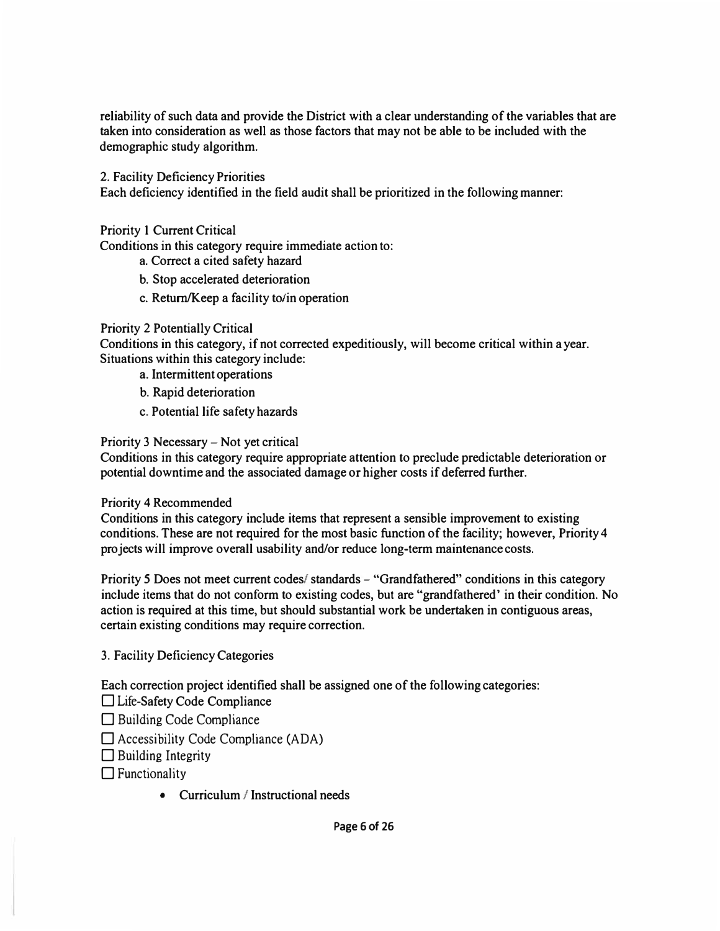reliability of such data and provide the District with a clear understanding of the variables that are taken into consideration as well as those factors that may not be able to be included with the demographic study algorithm.

2. Facility Deficiency Priorities

Each deficiency identified in the field audit shall be prioritized in the following manner:

Priority 1 Current Critical

Conditions in this category require immediate action to:

- a. Correct a cited safety hazard
- b. Stop accelerated deterioration
- c. Return/Keep a facility to/in operation

### Priority 2 Potentially Critical

Conditions in this category, if not corrected expeditiously, will become critical within a year. Situations within this category include:

- a. Intermittent operations
- b. Rapid deterioration
- c. Potential life safety hazards

Priority 3 Necessary - Not yet critical

Conditions in this category require appropriate attention to preclude predictable deterioration or potential downtime and the associated damage or higher costs if deferred further.

#### Priority 4 Recommended

Conditions in this category include items that represent a sensible improvement to existing conditions. These are not required for the most basic function of the facility; however, Priority 4 projects will improve overall usability and/or reduce long-term maintenance costs.

Priority 5 Does not meet current codes/standards - "Grandfathered" conditions in this category include items that do not conform to existing codes, but are "grandfathered' in their condition. No action is required at this time, but should substantial work be undertaken in contiguous areas, certain existing conditions may require correction.

3. Facility Deficiency Categories

Each correction project identified shall be assigned one of the following categories:

□ Life-Safety Code Compliance

 $\Box$  Building Code Compliance

 $\square$  Accessibility Code Compliance (ADA)

 $\Box$  Building Integrity

 $\Box$  Functionality

• Curriculum / Instructional needs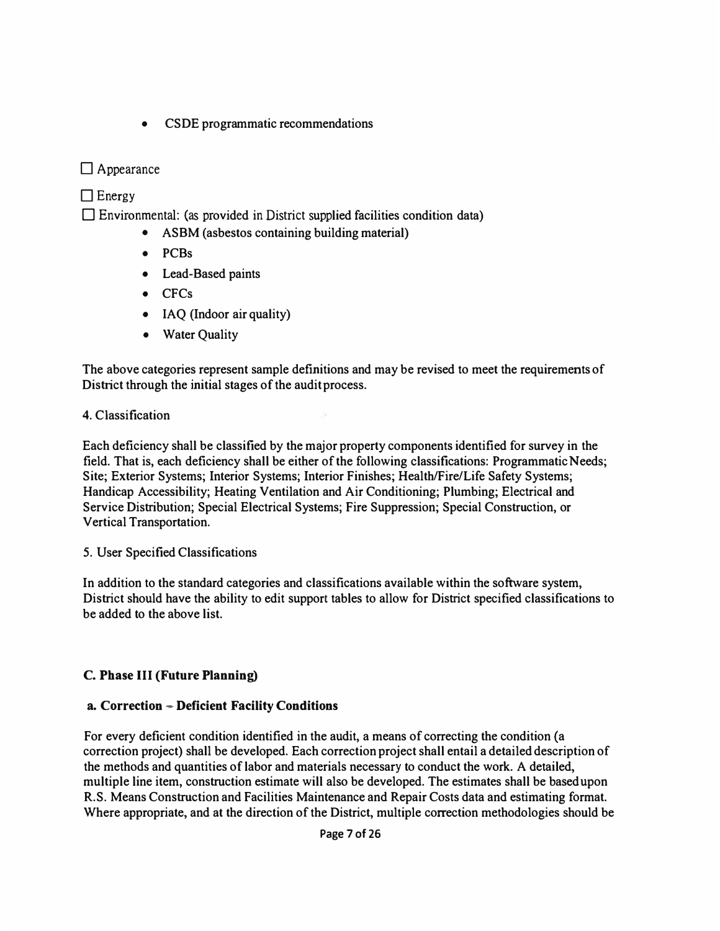• CSDE programmatic recommendations

### □ Appearance

### $\Box$  Energy

 $\square$  Environmental: (as provided in District supplied facilities condition data)

- ASBM (asbestos containing building material)
- PCBs
- Lead-Based paints
- CFCs
- IAQ (Indoor air quality)
- Water Quality

The above categories represent sample definitions and may be revised to meet the requirements of District through the initial stages of the audit process.

### 4. Classification

Each deficiency shall be classified by the major property components identified for survey in the field. That is, each deficiency shall be either of the following classifications: Programmatic Needs; Site; Exterior Systems; Interior Systems; Interior Finishes; Health/Fire/Life Safety Systems; Handicap Accessibility; Heating Ventilation and Air Conditioning; Plumbing; Electrical and Service Distribution; Special Electrical Systems; Fire Suppression; Special Construction, or Vertical Transportation.

### 5. User Specified Classifications

In addition to the standard categories and classifications available within the software system, District should have the ability to edit support tables to allow for District specified classifications to be added to the above list.

### *C. Phase* **III** *{Future Planning)*

### *a. Correction - Deficient Facility Conditions*

For every deficient condition identified in the audit, a means of correcting the condition {a correction project) shall be developed. Each correction project shall entail a detailed description of the methods and quantities of labor and materials necessary to conduct the work. A detailed, multiple line item, construction estimate will also be developed. The estimates shall be based upon R.S. Means Construction and Facilities Maintenance and Repair Costs data and estimating format. Where appropriate, and at the direction of the District, multiple correction methodologies should be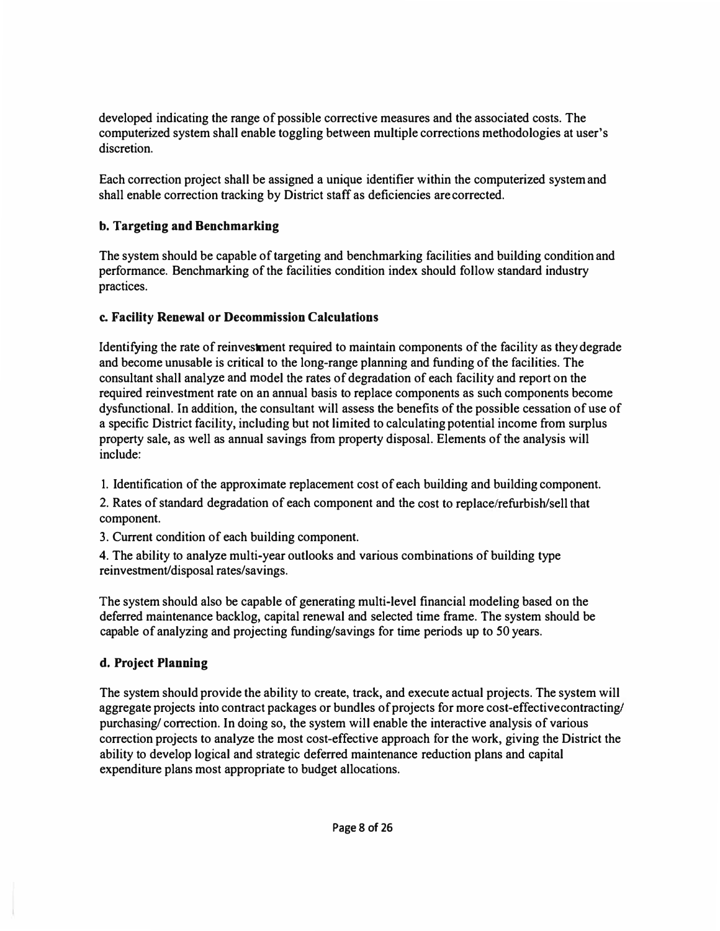developed indicating the range of possible corrective measures and the associated costs. The computerized system shall enable toggling between multiple corrections methodologies at user's discretion.

Each correction project shall be assigned a unique identifier within the computerized system and shall enable correction tracking by District staff as deficiencies are corrected.

### **b. Targeting and Benchmarking**

The system should be capable of targeting and benchmarking facilities and building condition and performance. Benchmarking of the facilities condition index should follow standard industry practices.

### **c. Facility Renewal or Decommission Calculations**

Identifying the rate of reinvestment required to maintain components of the facility as they degrade and become unusable is critical to the long-range planning and funding of the facilities. The consultant shall analyze and model the rates of degradation of each facility and report on the required reinvestment rate on an annual basis to replace components as such components become dysfunctional. In addition, the consultant will assess the benefits of the possible cessation of use of a specific District facility, including but not limited to calculating potential income from surplus property sale, as well as annual savings from property disposal. Elements of the analysis will include:

1. Identification of the approximate replacement cost of each building and building component.

2. Rates of standard degradation of each component and the cost to replace/refurbish/sell that component.

3. Current condition of each building component.

4. The ability to analyze multi-year outlooks and various combinations of building type reinvestment/disposal rates/savings.

The system should also be capable of generating multi-level financial modeling based on the deferred maintenance backlog, capital renewal and selected time frame. The system should be capable of analyzing and projecting funding/savings for time periods up to 50 years.

### **d. Project Planning**

The system should provide the ability to create, track, and execute actual projects. The system will aggregate projects into contract packages or bundles of projects for more cost-effective contracting/ purchasing/ correction. In doing so, the system will enable the interactive analysis of various correction projects to analyze the most cost-effective approach for the work, giving the District the ability to develop logical and strategic deferred maintenance reduction plans and capital expenditure plans most appropriate to budget allocations.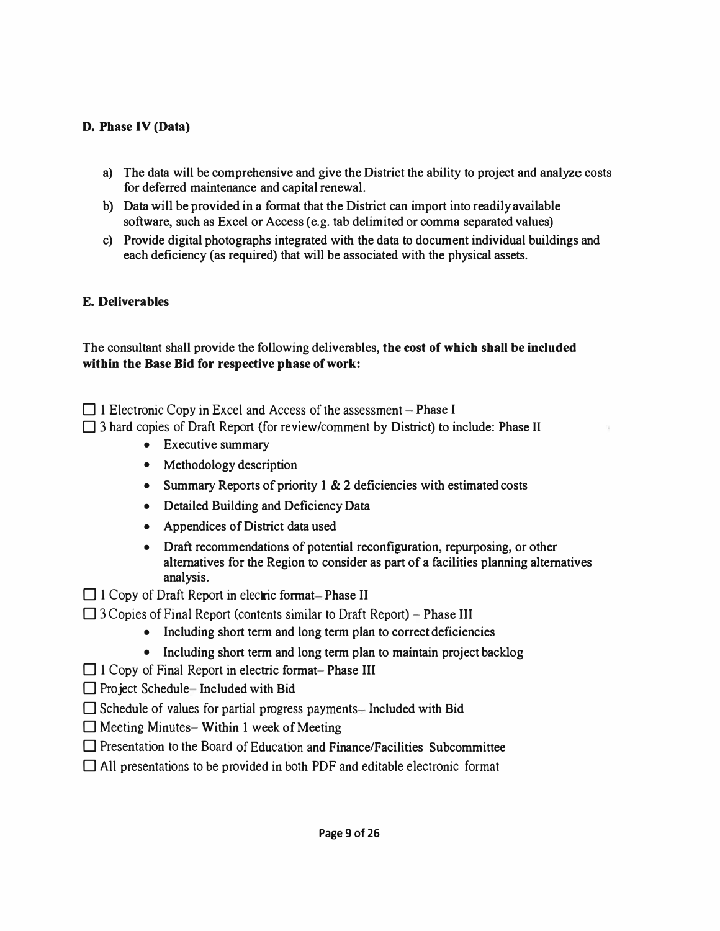### *D. Phase IV (Data)*

- a) The data will be comprehensive and give the District the ability to project and analyze costs for deferred maintenance and capital renewal.
- b) Data will be provided in a format that the District can import into readily available software, such as Excel or Access (e.g. tab delimited or comma separated values)
- c) Provide digital photographs integrated with the data to document individual buildings and each deficiency (as required) that will be associated with the physical assets.

### *E. Deliverables*

The consultant shall provide the following deliverables, *the cost of which shall be included within the Base Bid for respective phase of work:* 

 $\Box$  1 Electronic Copy in Excel and Access of the assessment – Phase I

 $\Box$  3 hard copies of Draft Report (for review/comment by District) to include: Phase II

- Executive summary
- Methodology description
- Summary Reports of priority 1 & 2 deficiencies with estimated costs
- Detailed Building and Deficiency Data
- Appendices of District data used
- Draft recommendations of potential reconfiguration, repurposing, or other alternatives for the Region to consider as part of a facilities planning alternatives analysis.
- $\Box$  1 Copy of Draft Report in electric format-Phase II
- $\Box$  3 Copies of Final Report (contents similar to Draft Report) Phase III
	- Including short term and long term plan to correct deficiencies
	- Including short term and long term plan to maintain project backlog
- $\Box$  1 Copy of Final Report in electric format- Phase III
- $\Box$  Project Schedule-Included with Bid
- $\Box$  Schedule of values for partial progress payments— Included with Bid
- $\Box$  Meeting Minutes- Within 1 week of Meeting
- $\Box$  Presentation to the Board of Education and Finance/Facilities Subcommittee
- $\Box$  All presentations to be provided in both PDF and editable electronic format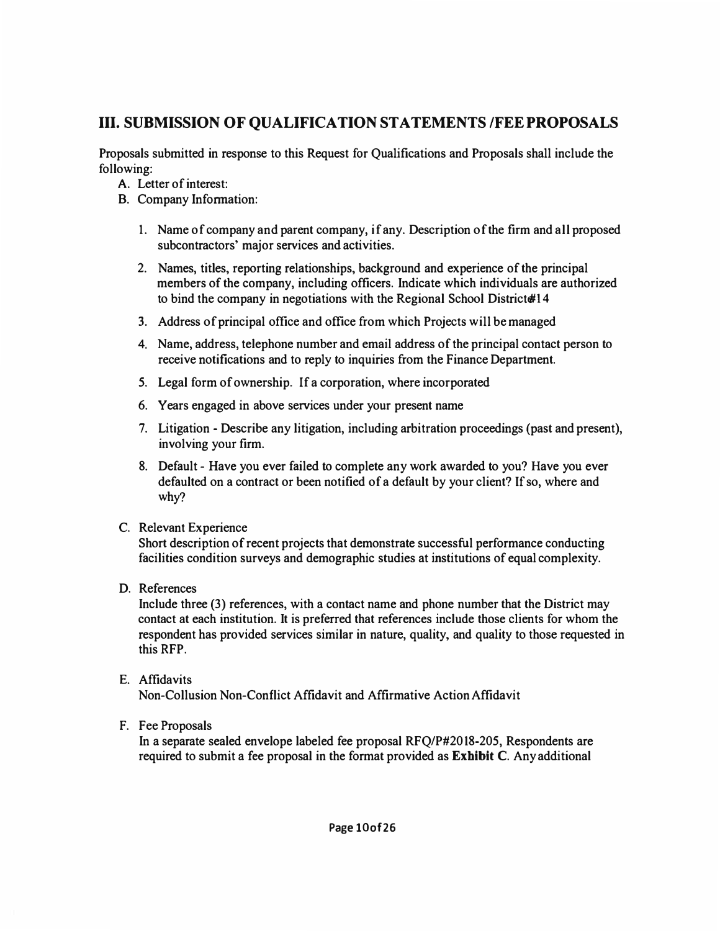### **III. SUBMISSION OF QUALIFICATION STATEMENTS /FEE PROPOSALS**

Proposals submitted in response to this Request for Qualifications and Proposals shall include the following:

- **A.** Letter of interest:
- B. Company Information:
	- 1. Name of company and parent company, if any. Description of the firm and all proposed subcontractors' major services and activities.
	- 2. Names, titles, reporting relationships, background and experience of the principal members of the company, including officers. Indicate which individuals are authorized to bind the company in negotiations with the Regional School District#14
	- *3.* Address of principal office and office from which Projects will be managed
	- **4.** Name, address, telephone number and email address of the principal contact person to receive notifications and to reply to inquiries from the Finance Department.
	- *5.* Legal form of ownership. If a corporation, where incorporated
	- 6. Years engaged in above services under your present name
	- *7.* Litigation Describe any litigation, including arbitration proceedings (past and present), involving your firm.
	- 8. Default Have you ever failed to complete any work awarded to you? Have you ever defaulted on a contract or been notified of a default by your client? *If*so, where and why?
- C. Relevant Experience

Short description of recent projects that demonstrate successful performance conducting facilities condition surveys and demographic studies at institutions of equal complexity.

D. References

Include three (3) references, with a contact name and phone number that the District may contact at each institution. It is preferred that references include those clients for whom the respondent has provided services similar in nature, quality, and quality to those requested in this RFP.

### E. Affidavits

Non-Collusion Non-Conflict Affidavit and Affirmative Action Affidavit

F. Fee Proposals

In a separate sealed envelope labeled fee proposal RFQ/P#2018-205, Respondents are required to submit a fee proposal in the format provided as **Exhibit** C. Any additional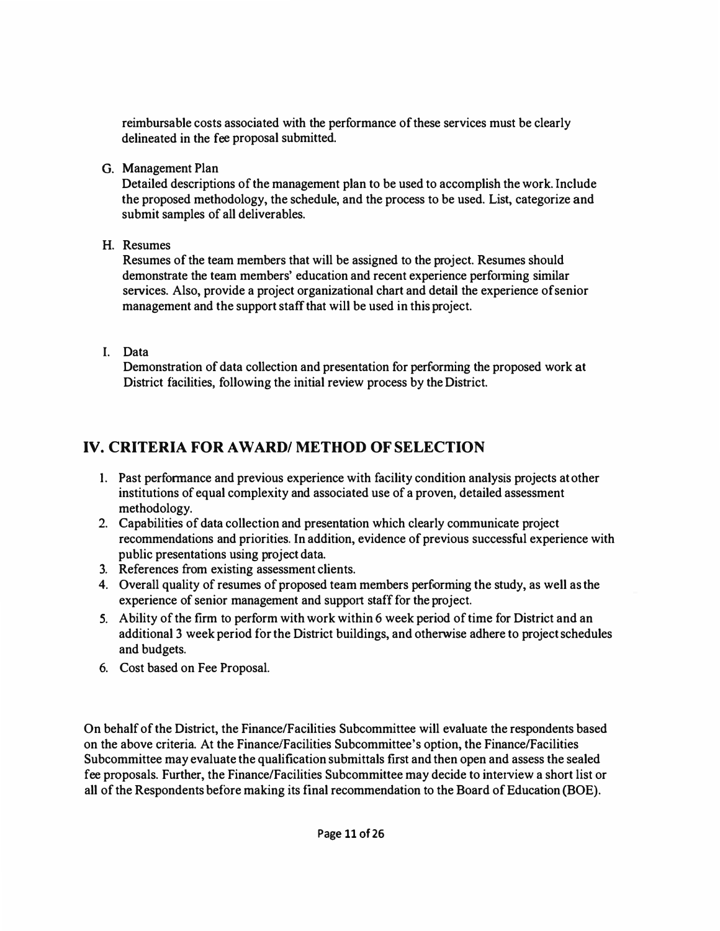**reimbursable costs associated with the performance of these services must be clearly delineated in the fee proposal submitted.** 

**G. Management Plan** 

**Detailed descriptions of the management plan to be used to accomplish the work. Include the proposed methodology, the schedule, and the process to be used. List, categorize and submit samples of all deliverables.** 

**H. Resumes** 

**Resumes of the team members that will be assigned to the project. Resumes should demonstrate the team members' education and recent experience performing similar services. Also, provide a project organizational chart and detail the experience of senior management and the support staff that will be used in this project.** 

**I. Data** 

**Demonstration of data collection and presentation for performing the proposed work at District facilities, following the initial review process by the District.** 

# **IV. CRITERIA FOR AWARD/ METHOD OF SELECTION**

- **1. Past performance and previous experience with facility condition analysis projects at other institutions of equal complexity and associated use of a proven, detailed assessment methodology.**
- **2. Capabilities of data collection and presentation which clearly communicate project recommendations and priorities. In addition, evidence of previous successful experience with public presentations using project data.**
- **3. References from existing assessment clients.**
- **4. Overall quality of resumes of proposed team members performing the study, as well as the experience of senior management and support staff for the project.**
- **5. Ability of the firm to perform with work within 6 week period of time for District and an additional 3 week period for the District buildings, and otherwise adhere to project schedules and budgets.**
- **6. Cost based on Fee Proposal.**

**On behalf of the District, the Finance/Facilities Subcommittee will evaluate the respondents based on the above criteria. At the Finance/Facilities Subcommittee's option, the Finance/Facilities Subcommittee may evaluate the qualification submittals first and then open and assess the sealed fee proposals. Further, the Finance/Facilities Subcommittee may decide to interview a short list or**  all of the Respondents before making its final recommendation to the Board of Education (BOE).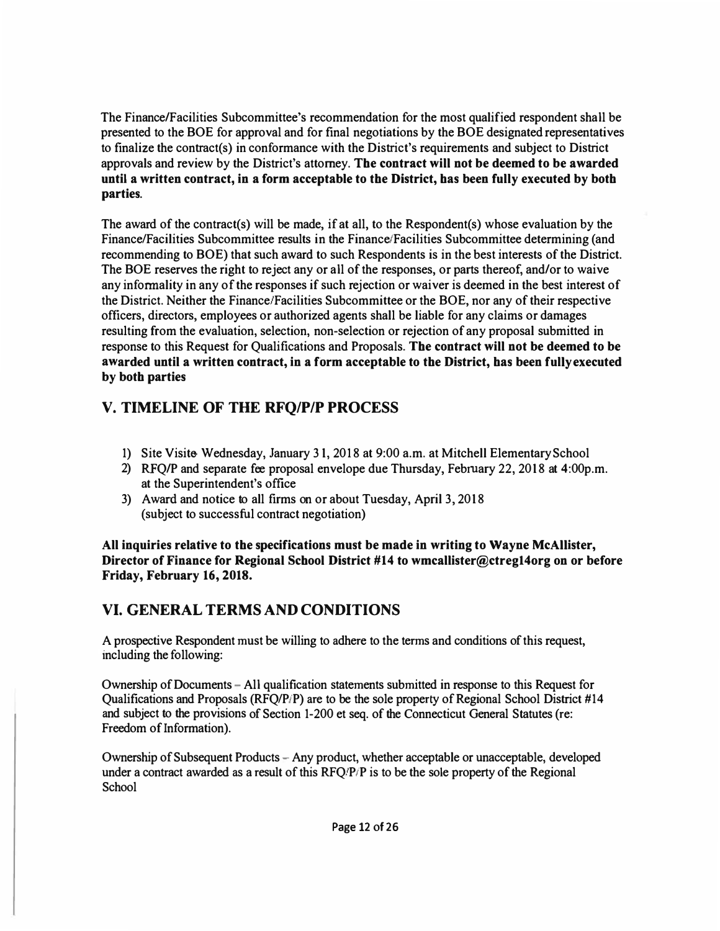The Finance/Facilities Subcommittee's recommendation for the most qualified respondent shall be presented to the BOE for approval and for final negotiations by the BOE designated representatives to finalize the contract(s) in conformance with the District's requirements and subject to District approvals and review by the District's attorney. **The contract will not be deemed to be awarded until a written contract, in a form acceptable to the District, has been fully executed by both parties.** 

The award of the contract(s) will be made, if at all, to the Respondent(s) whose evaluation by the Finance/Facilities Subcommittee results in the Finance/Facilities Subcommittee determining (and recommending to BOE) that such award to such Respondents is in the best interests of the District. The BOE reserves the right to reject any or all of the responses, or parts thereof, and/or to waive any informality in any of the responses if such rejection or waiver is deemed in the best interest of the District. Neither the Finance/Facilities Subcommittee or the BOE, nor any of their respective officers, directors, employees or authorized agents shall be liable for any claims or damages resulting from the evaluation, selection, non-selection or rejection of any proposal submitted in response to this Request for Qualifications and Proposals. **The contract will not be deemed to be awarded until a written contract, in a form acceptable to the District, has been fully executed by both parties** 

### **V. TIMELINE OF THE RFQ/P/P PROCESS**

- 1) Site Visite- Wednesday, January 31, 2018 at 9:00 a.m. at Mitchell Elementary School
- 2) RFQ/P and separate fee proposal envelope due Thursday, February 22, 2018 at 4:00p.m. at the Superintendent's office
- 3) Award and notice to all firms on or about Tuesday, April 3, 2018 (subject to successful contract negotiation)

**All inquiries relative to the specifications must be made in writing to Wayne McAllister, Director of Finance for Regional School District #14 to wmcallister@ctregl4org on or before Friday, February 16, 2018.** 

# **VI. GENERAL TERMS AND CONDITIONS**

A prospective Respondent must be willing to adhere to the terms and conditions of this request, including the following:

Ownership of Documents - All qualification statements submitted in response to this Request for Qualifications and Proposals (RFQ/P/P) are to be the sole property of Regional School District #14 and subject to the provisions of Section 1-200 et seq. of the Connecticut General Statutes (re: Freedom of Information).

Ownership of Subsequent Products -Any product, whether acceptable or unacceptable, developed under a contract awarded as a result of this  $\text{RFO/P/P}$  is to be the sole property of the Regional School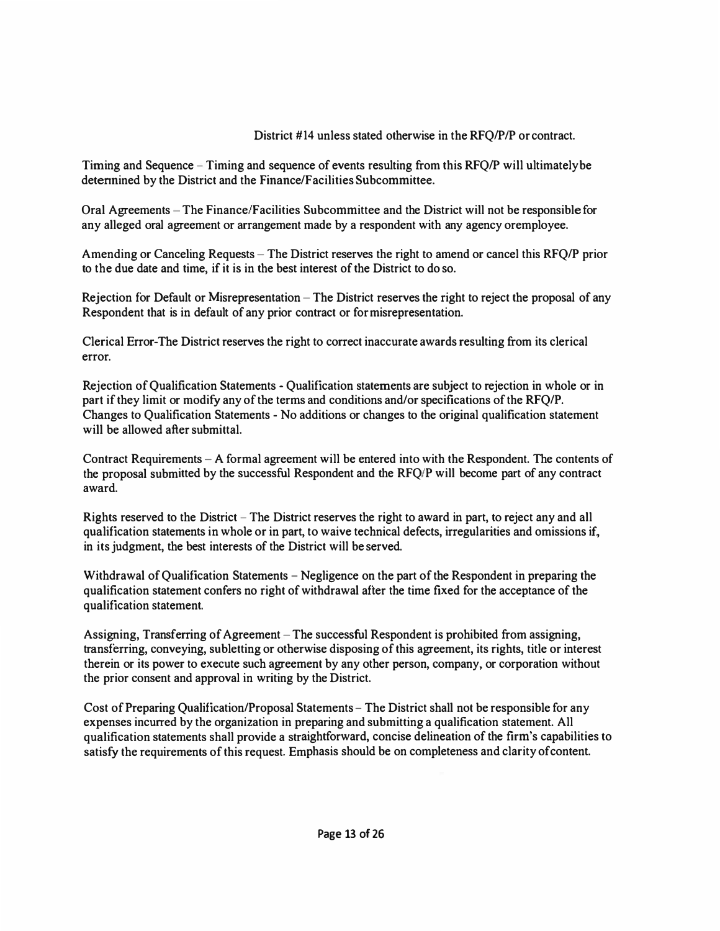### **District # 14 unless stated otherwise in the RFQ/P/P or contract.**

**Timing and Sequence - Timing and sequence of events resulting from this RFQ/P will ultimately be detennined by the District and the Finance/Facilities Subcommittee.** 

**Oral Agreements -The Finance/Facilities Subcommittee and the District will not be responsible for any alleged oral agreement or arrangement made by a respondent with any agency oremployee.** 

**Amending or Canceling Requests - The District reserves the right to amend or cancel this RFQ/P prior to the due date and time, if it is in the best interest of the District to do so.** 

**Rejection for Default or Misrepresentation - The District reserves the right to reject the proposal of any Respondent that is in default of any prior contract or for misrepresentation.** 

**Clerical Error-The District reserves the right to correct inaccurate awards resulting from its clerical error.** 

**Rejection of Qualification Statements - Qualification statements are subject to rejection in whole or in part if they limit or modify any of the terms and conditions and/or specifications of the RFQ/P. Changes to Qualification Statements - No additions or changes to the original qualification statement will be allowed after submittal.** 

**Contract Requirements - A formal agreement will be entered into with the Respondent. The contents of the proposal submitted by the successful Respondent and the RFQ/P will become part of any contract award.** 

**Rights reserved to the District - The District reserves the right to award in part, to reject any and all qualification statements in whole or in part, to waive technical defects, irregularities and omissions if, in its judgment, the best interests of the District will be served.** 

**Withdrawal of Qualification Statements - Negligence on the part of the Respondent in preparing the qualification statement confers no right of withdrawal after the time fixed for the acceptance of the qualification statement.** 

Assigning, Transferring of Agreement – The successful Respondent is prohibited from assigning, **transferring, conveying, subletting or otherwise disposing of this agreement, its rights, title or interest therein or its power to execute such agreement by any other person, company, or corporation without the prior consent and approval in writing by the District.** 

**Cost of Preparing Qualification/Proposal Statements - The District shall not be responsible for any expenses incurred by the organization in preparing and submitting a qualification statement. All qualification statements shall provide a straightforward, concise delineation of the firm's capabilities to satisfy the requirements of this request. Emphasis should be on completeness and clarity ofcontent.**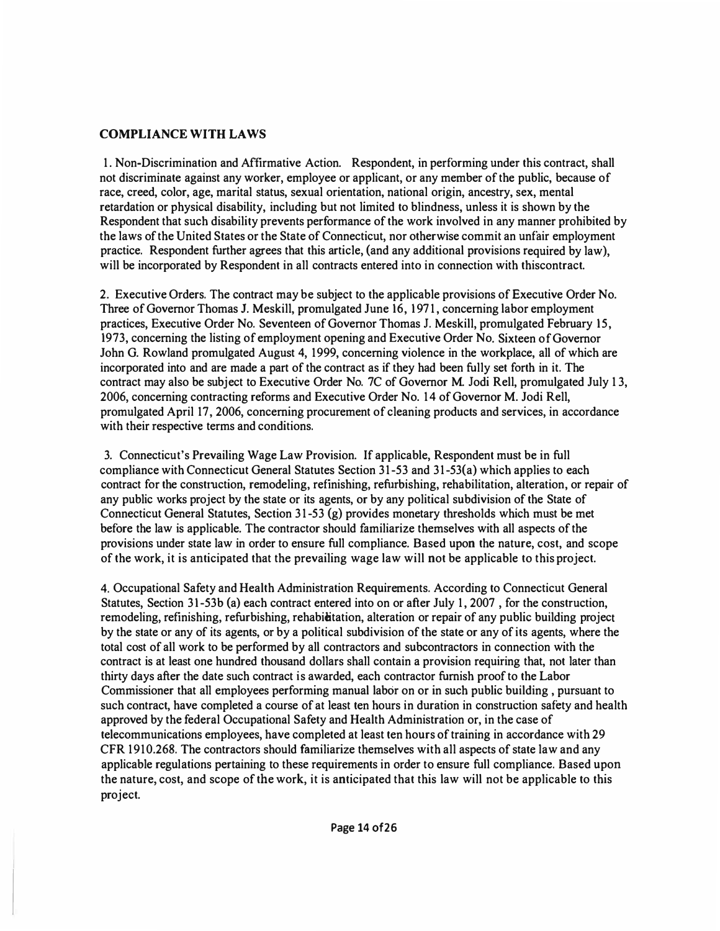#### **COMPLIANCE WITH LAWS**

**1. Non-Discrimination and Affirmative Action. Respondent, in performing under this contract, shall not discriminate against any worker, employee or applicant, or any member of the public, because of race, creed, color, age, marital status, sexual orientation, national origin, ancestry, sex, mental retardation or physical disability, including but not limited to blindness, unless it is shown by the Respondent that such disability prevents performance of the work involved in any manner prohibited by the laws of the United States or the State of Connecticut, nor otherwise commit an unfair employment practice. Respondent further agrees that this article, (and any additional provisions required by law), will be incorporated by Respondent in all contracts entered into in connection with thiscontract.** 

**2. Executive Orders. The contract may be subject to the applicable provisions of Executive Order No. Three of Governor Thomas J. Meskill, promulgated June 16, 1971, concerning labor employment practices, Executive Order No. Seventeen of Governor Thomas J. Meskill, promulgated February 15, 1973, concerning the listing of employment opening and Executive Order No. Sixteen of Governor John G. Rowland promulgated August 4, 1999, concerning violence in the workplace, all of which are incorporated into and are made a part of the contract as if they had been fully set forth in it. The contract may also be subject to Executive Order No. 7C of Governor M. Jodi Rell, promulgated July 1 3, 2006, concerning contracting reforms and Executive Order No. 14 of Governor M. Jodi Rell, promulgated April 17, 2006, concerning procurement of cleaning products and services, in accordance with their respective terms and conditions.** 

**3. Connecticut's Prevailing Wage Law Provision. If applicable, Respondent must be in full compliance with Connecticut General Statutes Section 31-53 and 31-53(a) which applies to each contract for the construction, remodeling, refinishing, refurbishing, rehabilitation, alteration, or repair of any public works project by the state or its agents, or by any political subdivision of the State of Connecticut General Statutes, Section 31-53 (g) provides monetary thresholds which must be met before the law is applicable. The contractor should familiarize themselves with all aspects of the provisions under state law in order to ensure full compliance. Based upon the nature, cost, and scope of the work, it is anticipated that the prevailing wage law will not be applicable to this project.** 

**4. Occupational Safety and Health Administration Requirements. According to Connecticut General Statutes, Section 31-53b (a) each contract entered into on or after July 1, 2007 , for the construction, remodeling, refinishing, refurbishing, rehabielitation, alteration or repair of any public building project by the state or any of its agents, or by a political subdivision of the state or any of its agents, where the total cost of all work to be performed by all contractors and subcontractors in connection with the contract is at least one hundred thousand dollars shall contain a provision requiring that, not later than thirty days after the date such contract is awarded, each contractor furnish proof to the Labor Commissioner that all employees performing manual labor on or in such public building , pursuant to such contract, have completed a course of at least ten hours in duration in construction safety and health approved by the federal Occupational Safety and Health Administration or, in the case of telecommunications employees, have completed at least ten hours of training in accordance with 29 CFR 1910.268. The contractors should familiarize themselves with all aspects of state law and any applicable regulations pertaining to these requirements in order to ensure full compliance. Based upon the nature, cost, and scope of the work, it is anticipated that this law will not be applicable to this project.**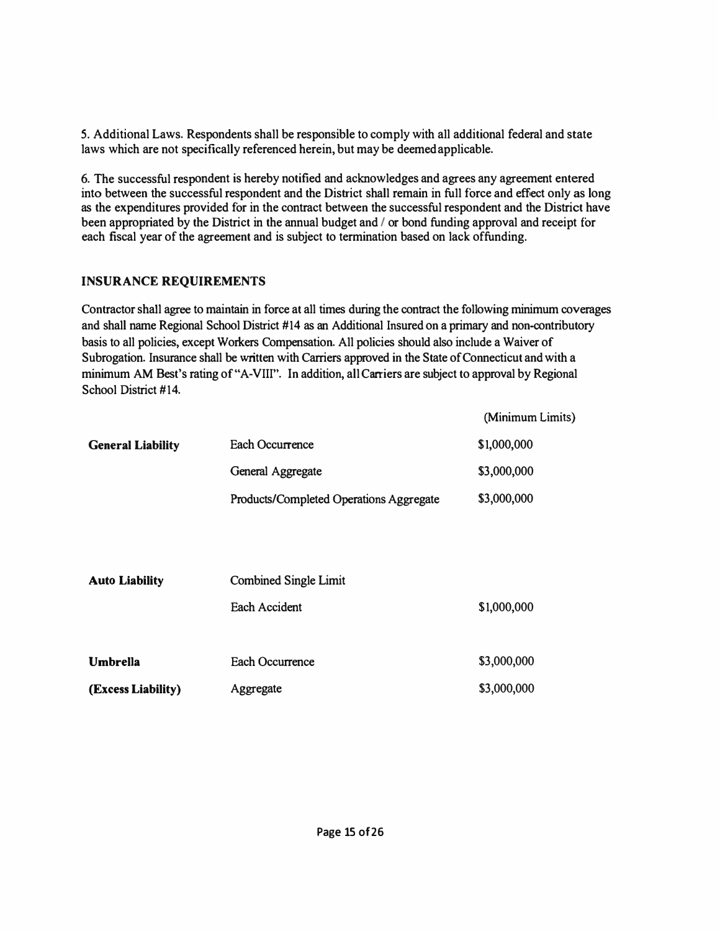*5.* Additional Laws. Respondents shall be responsible to comply with all additional federal and state laws which are not specifically referenced herein, but may be deemed applicable.

6. The successful respondent is hereby notified and acknowledges and agrees any agreement entered into between the successful respondent and the District shall remain in full force and effect only as long as the expenditures provided for in the contract between the successful respondent and the District have been appropriated by the District in the annual budget and / or bond funding approval and receipt for each fiscal year of the agreement and is subject to termination based on lack of funding.

### **INSURANCE REQUIREMENTS**

Contractor shall agree to maintain in force at all times during the contract the following minimum coverages and shall name Regional School District #14 as an Additional Insured on a primary and non-contributory basis to all policies, except Workers Compensation. All policies should also include a Waiver of Subrogation. Insurance shall be written with Carriers approved in the State of Connecticut and with a minimum AM Best's rating of "A-VIII". In addition, all Carriers are subject to approval by Regional School District #14.

|                          |                                         | (Minimum Limits) |
|--------------------------|-----------------------------------------|------------------|
| <b>General Liability</b> | Each Occurrence                         | \$1,000,000      |
|                          | General Aggregate                       | \$3,000,000      |
|                          | Products/Completed Operations Aggregate | \$3,000,000      |
|                          |                                         |                  |

| <b>Auto Liability</b> | <b>Combined Single Limit</b> |             |  |  |
|-----------------------|------------------------------|-------------|--|--|
|                       | Each Accident                | \$1,000,000 |  |  |
| <b>Umbrella</b>       | Each Occurrence              | \$3,000,000 |  |  |
| (Excess Liability)    | Aggregate                    | \$3,000,000 |  |  |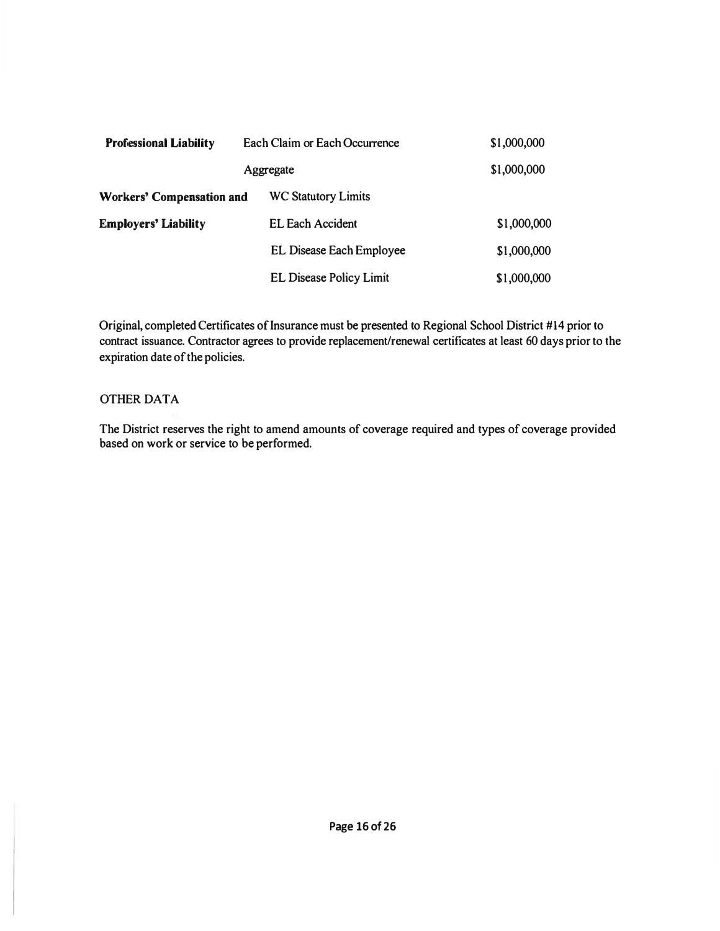| <b>Professional Liability</b>    | Each Claim or Each Occurrence |                                 | \$1,000,000 |
|----------------------------------|-------------------------------|---------------------------------|-------------|
|                                  |                               | Aggregate                       | \$1,000,000 |
| <b>Workers' Compensation and</b> |                               | <b>WC Statutory Limits</b>      |             |
| <b>Employers' Liability</b>      |                               | <b>EL Each Accident</b>         | \$1,000,000 |
|                                  |                               | <b>EL Disease Each Employee</b> | \$1,000,000 |
|                                  |                               | <b>EL Disease Policy Limit</b>  | \$1,000,000 |

**Original, completed Certificates of Insurance must be presented to Regional School District #14 prior to contract issuance. Contractor agrees to provide replacement/renewal certificates at least 60 days prior to the expiration date of the policies.** 

#### **OTHER DATA**

**The District reserves the right to amend amounts of coverage required and types of coverage provided based on work or service to be performed.**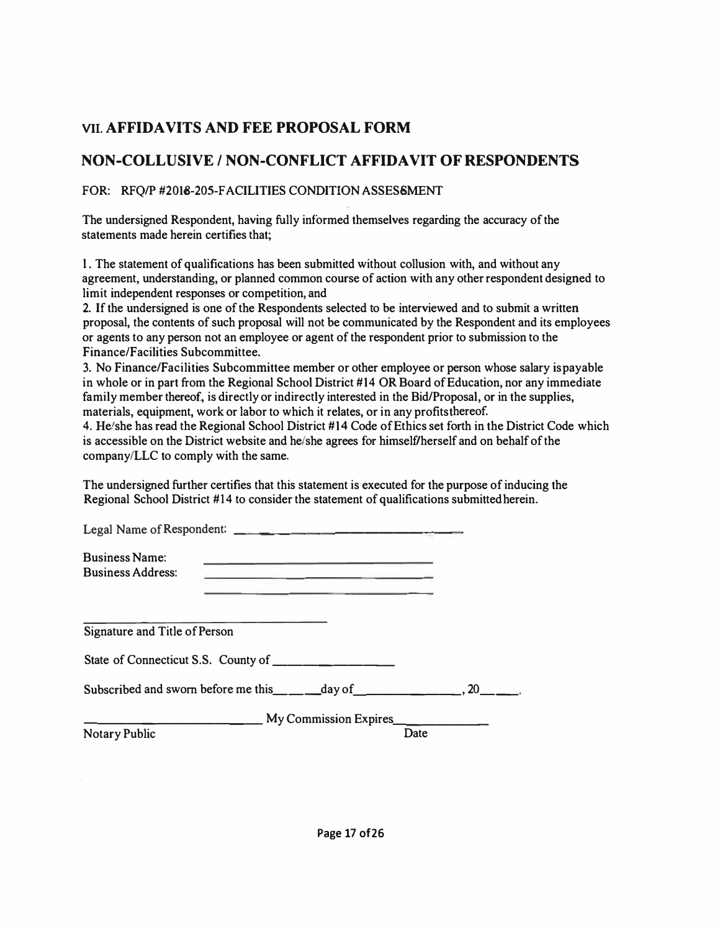### **VIL AFFIDAVITS AND FEE PROPOSAL FORM**

### **NON-COLLUSIVE / NON-CONFLICT AFFIDAVIT OF RESPONDENTS**

### FOR: RFQ/P #2018-205-FACILITIES CONDITION ASSESSMENT

**The undersigned Respondent, having fully informed themselves regarding the accuracy of the statements made herein certifies that;** 

**l. The statement of qualifications has been submitted without collusion with, and without any agreement, understanding, or planned common course of action with any other respondent designed to limit independent responses or competition, and** 

**2. If the undersigned is one of the Respondents selected to be interviewed and to submit a written proposal, the contents of such proposal will not be communicated by the Respondent and its employees or agents to any person not an employee or agent of the respondent prior to submission to the Finance/Facilities Subcommittee.** 

**3. No Finance/Facilities Subcommittee member or other employee or person whose salary is payable in whole or in part from the Regional School District #14 OR Board of Education, nor any immediate family member thereof, is directly or indirectly interested in the Bid/Proposal, or in the supplies, materials, equipment, work or labor to which it relates, or in any profits thereof.** 

**4. He/she has read the Regional School District #14 Code of Ethics set forth in the District Code which is accessible on the District website and he/she agrees for himself/herself and on behalf of the company/LLC to comply with the same.** 

**The undersigned further certifies that this statement is executed for the purpose of inducing the Regional School District #14 to consider the statement of qualifications submitted herein.** 

|                                                   | Legal Name of Respondent:                                                                                             |      |  |
|---------------------------------------------------|-----------------------------------------------------------------------------------------------------------------------|------|--|
| <b>Business Name:</b><br><b>Business Address:</b> | <u> 1989 - Johann Harrison, margaret ar yn y brening y brening yn y brening y brening yn y brening y brening yn y</u> |      |  |
| Signature and Title of Person                     | State of Connecticut S.S. County of                                                                                   |      |  |
|                                                   |                                                                                                                       |      |  |
| <b>Notary Public</b>                              | My Commission Expires                                                                                                 | Date |  |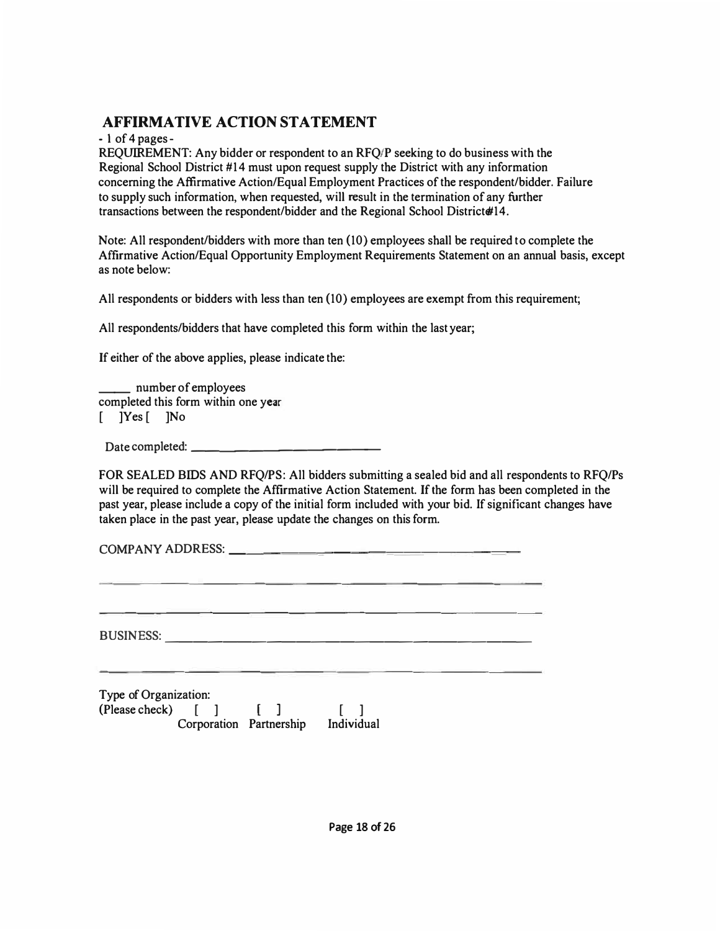**- 1 of 4 pages -**

**REQum.EMENT: Any bidder or respondent to an RFQ/P seeking to do business with the Regional School District #14 must upon request supply the District with any information concerning the Affirmative Action/Equal Employment Practices of the respondent/bidder. Failure to supply such information, when requested, will result in the termination of any further**  transactions between the respondent/bidder and the Regional School District#14.

**Note: All respondent/bidders with more than ten (10) employees shall be required to complete the Affirmative Action/Equal Opportunity Employment Requirements Statement on an annual basis, except as note below:** 

**Alt respondents or bidders with less than ten (10) employees are exempt from this requirement;** 

**Atl respondents/bidders that have completed this form within the last year;** 

**If either of the above applies, please indicate the:** 

**\_\_ number of employees completed this form within one year [ ]Yes [ ]No** 

**Date completed: \_\_\_\_\_\_\_\_\_\_\_\_\_** 

**FOR SEALED BIDS AND RFQ/PS: All bidders submitting a sealed bid and alt respondents to RFQ/Ps will be required to complete the Affirmative Action Statement. If the form has been completed in the past year, please include a copy of the initial form included with your bid. If significant changes have taken place in the past year, please update the changes on this form.** 

**COMPANY ADDRESS: \_\_\_\_\_\_\_\_\_\_\_\_\_\_\_\_ \_** 

**BUSINESS:** -------------------------

**Type of Organization: (Please check) [ ] [ ] [ ] Corporation Partnership Individual**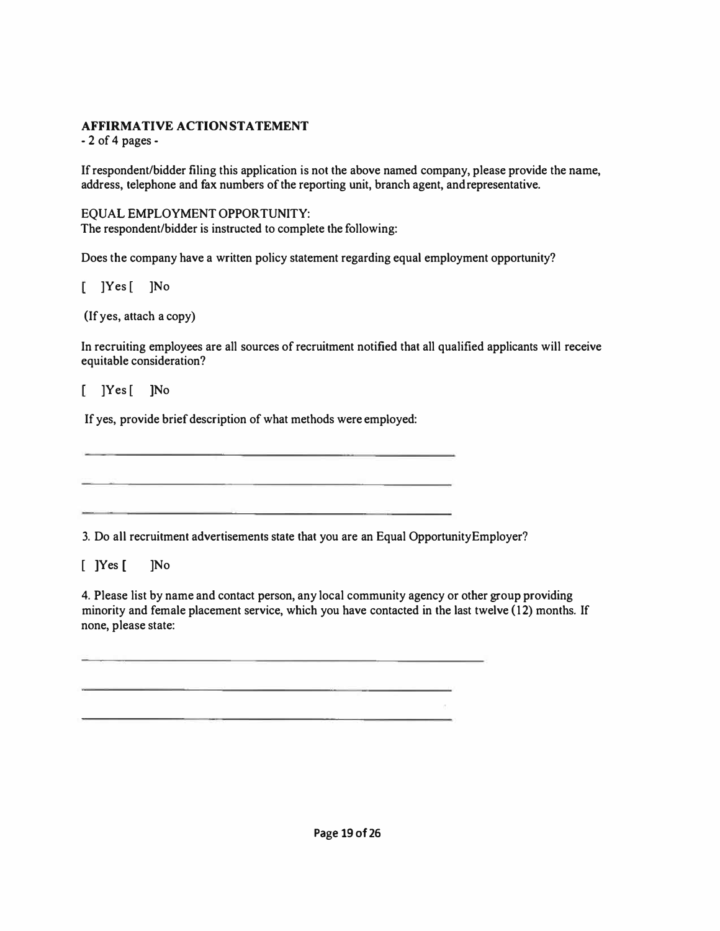**- 2 of 4 pages -**

**Ifrespondent/bidder filing this application is not the above named company, please provide the name, address, telephone and fax numbers of the reporting unit, branch agent, and representative.** 

#### **EQUAL EMPLOYMENT OPPORTUNITY:**

**The respondent/bidder is instructed to complete the following:** 

**Does the company have a written policy statement regarding equal employment opportunity?** 

**]Yes [ ]No** 

**(If yes, attach a copy)** 

**In recruiting employees are all sources of recruitment notified that all qualified applicants will receive equitable consideration?** 

**]Yes [ ]No** 

**If yes, provide brief description of what methods were employed:** 

**3. Do all recruitment advertisements state that you are an Equal Opportunity Employer?** 

**[ ]Yes [ ]No** 

**4. Please list by name and contact person, any local community agency or other group providing minority and female placement service, which you have contacted in the last twelve (12) months. If none, please state:** 

**Page 19 of 26**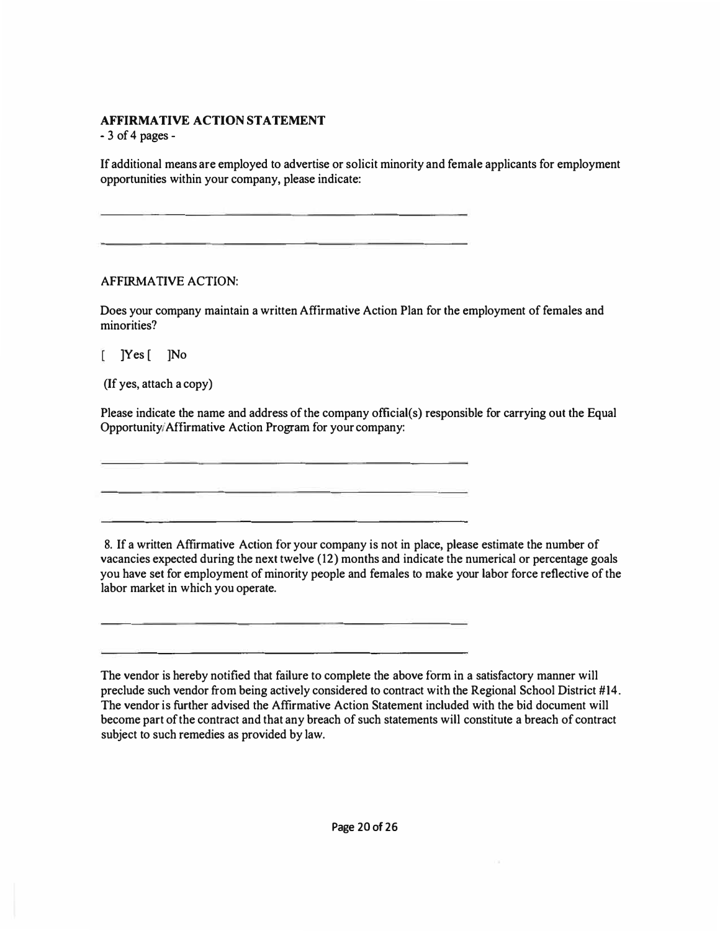**- 3 of 4 pages -**

**Ifadditional means are employed to advertise or solicit minority and female applicants for employment opportunities within your company, please indicate:** 

#### **AFFIRMATIVE ACTION:**

**Does your company maintain a written Affirmative Action Plan for the employment of females and minorities?** 

**]Yes [ ]No** 

**(If yes, attach a copy)** 

**Please indicate the name and address of the company official(s) responsible for carrying out the Equal Opportunity/Affirmative Action Program for your company:** 

**8. If a written Affirmative Action for your company is not in place, please estimate the number of vacancies expected during the next twelve (12) months and indicate the numerical or percentage goals you have set for employment of minority people and females to make your labor force reflective of the labor market in which you operate.** 

**The vendor is hereby notified that failure to complete the above form in a satisfactory manner will preclude such vendor from being actively considered to contract with the Regional School District #14. The vendor is further advised the Affirmative Action Statement included with the bid document will become part of the contract and that any breach of such statements will constitute a breach of contract subject to such remedies as provided by law.**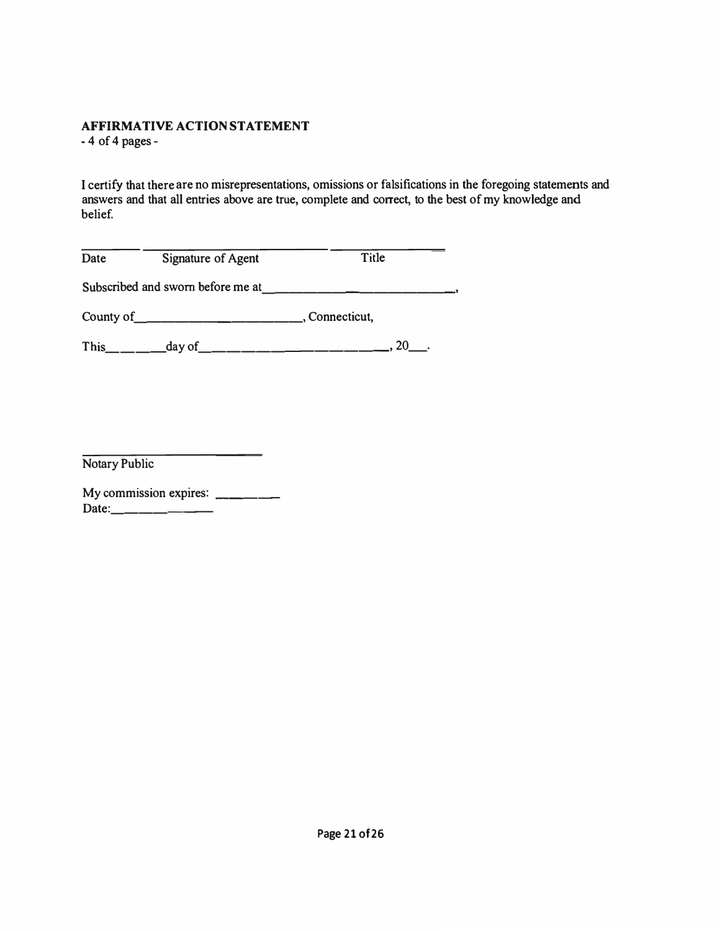-4 of 4 pages -

I certify that there are no misrepresentations, omissions or falsifications in the foregoing statements and answers and that all entries above are true, complete and correct, to the best of my knowledge and belief.

| Date | Signature of Agent | Title          |
|------|--------------------|----------------|
|      |                    |                |
|      |                    | , Connecticut, |
|      |                    |                |

Notary Public

| My commission expires: |  |
|------------------------|--|
| Date:_                 |  |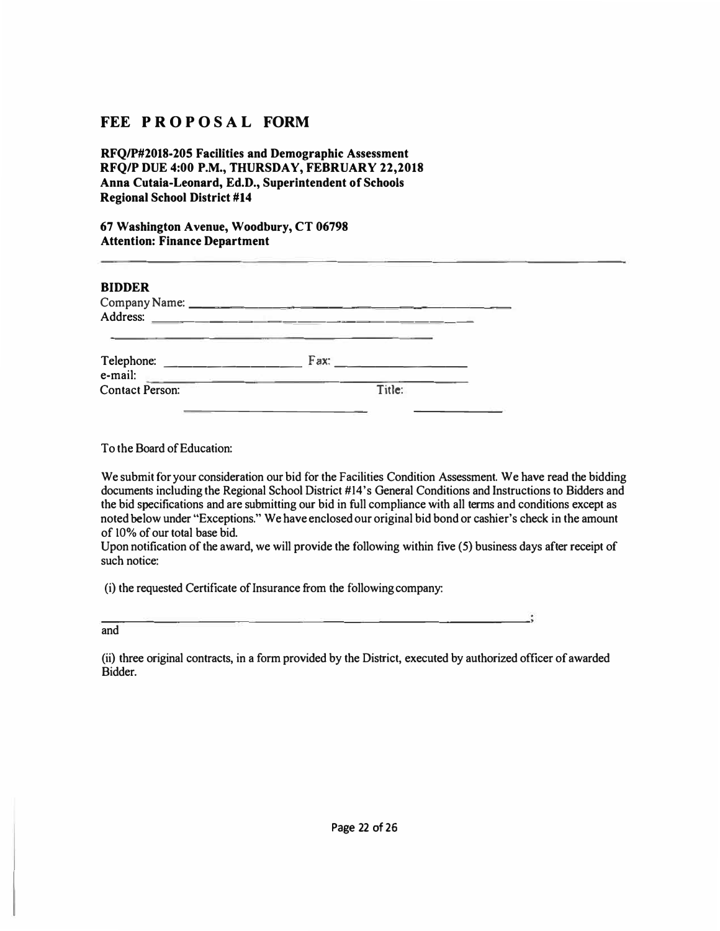### **FEE PROPOSAL FORM**

**RFQ/P#2018-205 Facilities and Demographic Assessment RFQ/P DUE 4:00 P.M., THURSDAY, FEBRUARY 22,2018 Anna Cutaia-Leonard, Ed.D., Superintendent of Schools Regional School District #14** 

**67 Washington Avenue, Woodbury, CT 06798 Attention: Finance Department** 

| <b>BIDDER</b><br>Company Name:<br>Address: |        |  |
|--------------------------------------------|--------|--|
| Telephone:<br>e-mail:                      | Fax:   |  |
| <b>Contact Person:</b>                     | Title: |  |

**To the Board of Education:** 

**We submit for your consideration our bid for the Facilities Condition Assessment. We have read the bidding documents including the Regional School District #14's General Conditions and Instructions to Bidders and the bid specifications and are submitting our bid in full compliance with all terms and conditions except as noted below under "Exceptions." We have enclosed our original bid bond or cashier's check in the amount of** 10% **of our total base bid.** 

**Upon notification of the award, we will provide the following within five (5) business days after receipt of such notice:** 

**(i) the requested Certificate of Insurance from the following company:** 

**and** 

**(ii) three original contracts, in a form provided by the District, executed by authorized officer of awarded Bidder.**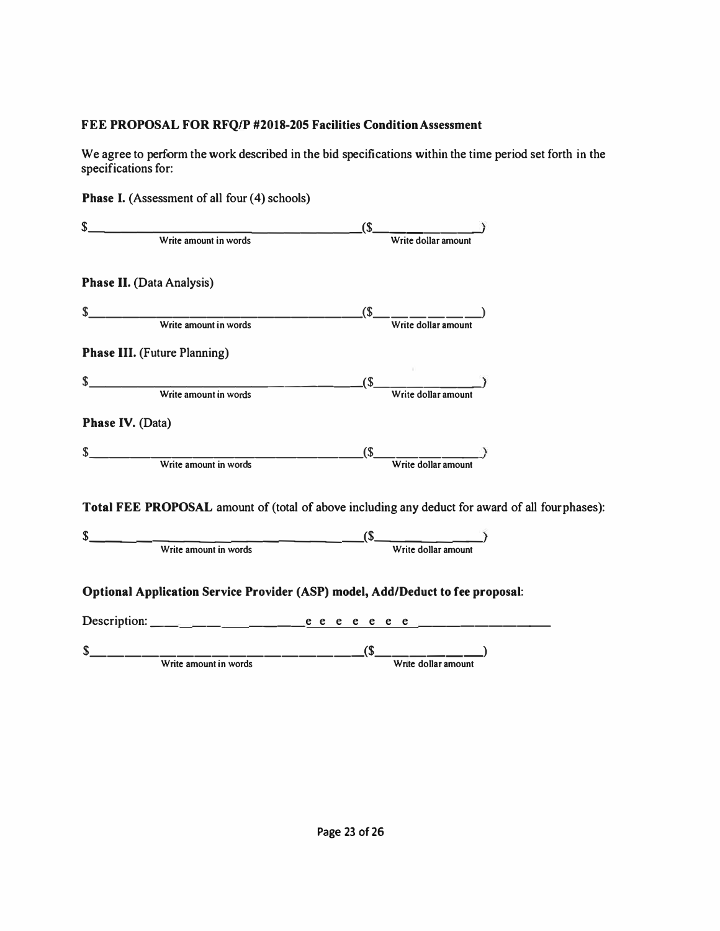### **FEE PROPOSAL FOR RFQ/P #2018-205 Facilities Condition Assessment**

**We agree to perform the work described in the bid specifications within the time period set forth in the specifications for:** 

**Phase I. (Assessment of all four (4) schools)** 

| \$.                                                                                             | (S)                                  |  |
|-------------------------------------------------------------------------------------------------|--------------------------------------|--|
| Write amount in words                                                                           | Write dollar amount                  |  |
| <b>Phase II.</b> (Data Analysis)                                                                |                                      |  |
| S                                                                                               | (S)                                  |  |
| Write amount in words                                                                           | Write dollar amount                  |  |
| <b>Phase III.</b> (Future Planning)                                                             |                                      |  |
|                                                                                                 |                                      |  |
| $\mathsf{s}$<br>Write amount in words                                                           | $\mathcal{S}$<br>Write dollar amount |  |
| <b>Phase IV. (Data)</b>                                                                         |                                      |  |
| S                                                                                               | (S)                                  |  |
| Write amount in words                                                                           | Write dollar amoun                   |  |
| Total FEE PROPOSAL amount of (total of above including any deduct for award of all fourphases): |                                      |  |
| S                                                                                               | <u> 1999 - Jan Ja</u><br>$(S_$       |  |
| Write amount in words                                                                           | Write dollar amount                  |  |
| Optional Application Service Provider (ASP) model, Add/Deduct to fee proposal:                  |                                      |  |
|                                                                                                 |                                      |  |
| S.                                                                                              | $\sqrt{S}$                           |  |
| Write amount in words                                                                           | Write dollar amount                  |  |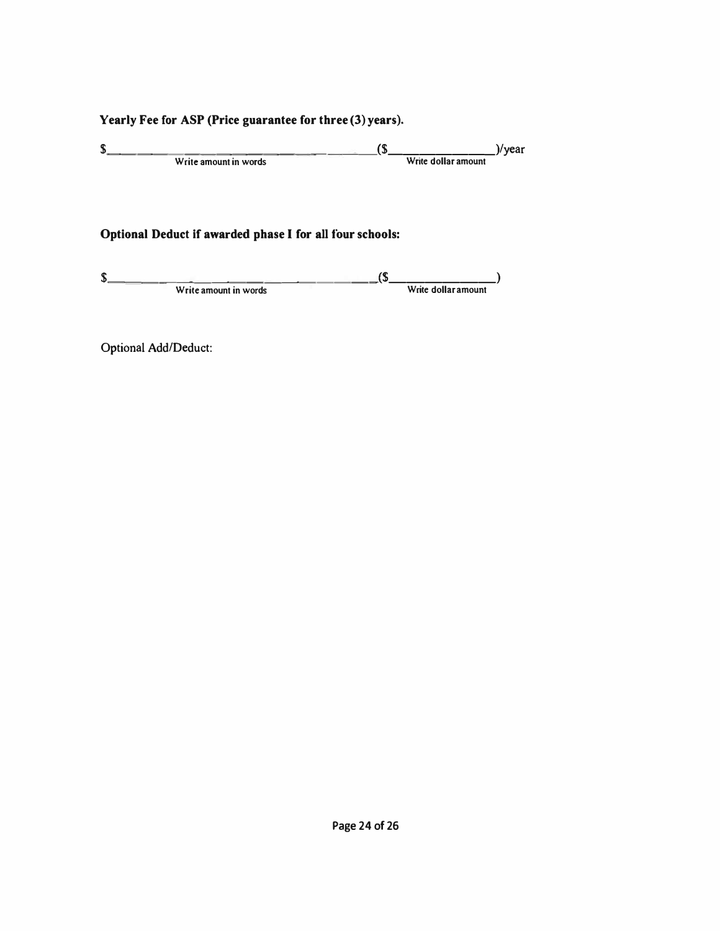### **Yearly Fee for ASP (Price guarantee for three (3) years).**

 $\frac{\text{S}}{\text{Write amount in words}}$  ( $\frac{\text{S}}{\text{Write dollar amount}}$ )/year Write amount in words

### **Optional Deduct if awarded phase I for all four schools:**

| ሖ                     |                     |
|-----------------------|---------------------|
| Write amount in words | Write dollar amount |

Optional Add/Deduct: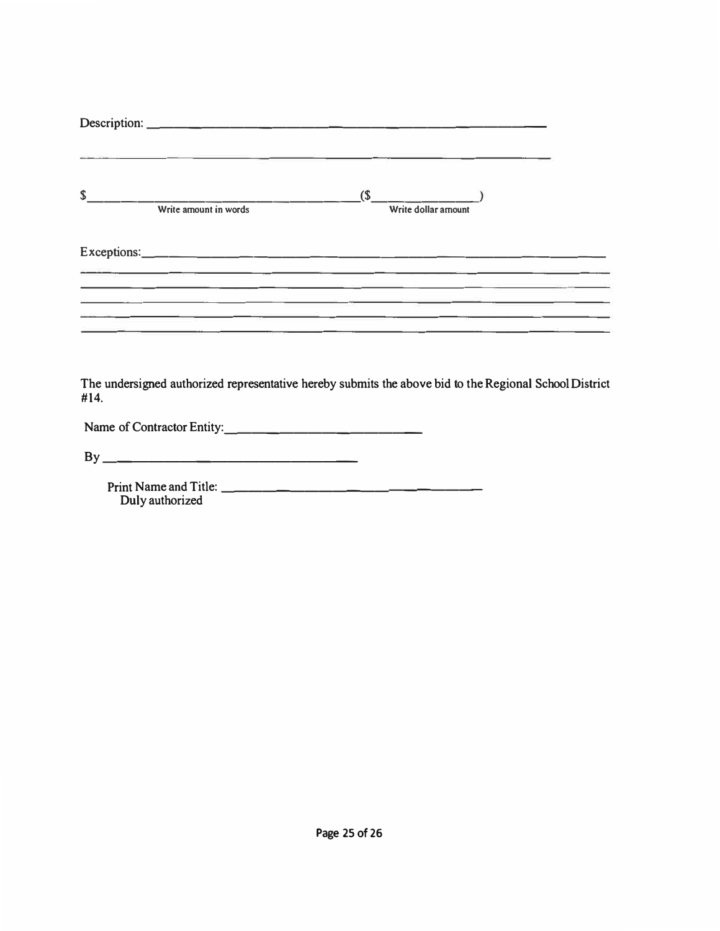|      | 한 사이에서 이 사이 사이 사이 사이트 그 사이트 이 사이트 그 사이트 그 사이트 그 사이트 그 사이트 그 사이트 그 사이트 그 사이트 그 사이트 그 사이트 그 사이트 그 사이트 그 사이트 그 사이트                                                                                                                                                                                                                                   |                               |  |
|------|---------------------------------------------------------------------------------------------------------------------------------------------------------------------------------------------------------------------------------------------------------------------------------------------------------------------------------------------------|-------------------------------|--|
| S    | $\overline{\phantom{a}}$ Write amount in words                                                                                                                                                                                                                                                                                                    | $($ \$<br>Write dollar amount |  |
|      | 지수 있습니다. 그 사람은 그 사람들은 그 사람들은 그 사람들은 그 사람들을 지르며 그 사람들을 지르며 그 사람들을 지르며 그 사람들을 지르며 그 사람들을 지르며 그 사람들을 지르며 그 사람들을 지르며 그 사람들을 지르며 그 사람들을 지르며 그 사람들을 지르며 그 사람들을 지르며 그 사람들을 지르며 그 사람들을 지르며 그 사람들을 지르며 그 사람들을 지르며 그 사람들을 지르며 그 사람들을 지르<br>and the control of the control of the control of the control of the control of the control of the control of the |                               |  |
|      | <u> 1989 - Johann Barn, mars and de format de la provincia de la provincia de la provincia de la provincia de la</u>                                                                                                                                                                                                                              |                               |  |
| #14. | The undersigned authorized representative hereby submits the above bid to the Regional School District                                                                                                                                                                                                                                            |                               |  |
|      | Name of Contractor Entity:                                                                                                                                                                                                                                                                                                                        |                               |  |
|      |                                                                                                                                                                                                                                                                                                                                                   |                               |  |
|      | Print Name and Title:                                                                                                                                                                                                                                                                                                                             |                               |  |

Print Name and Title: